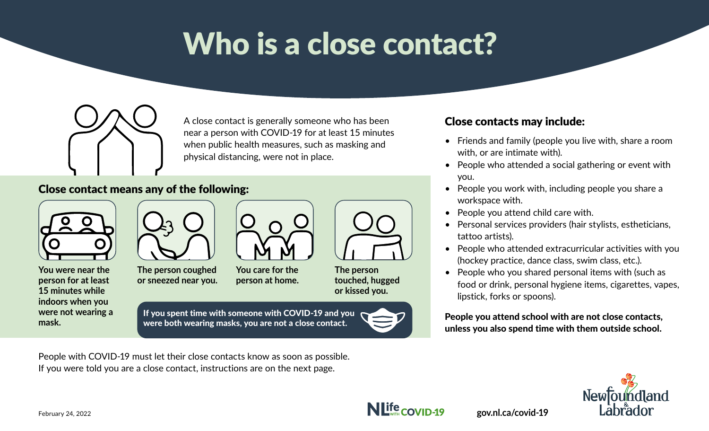# Who is a close contact?



A close contact is generally someone who has been near a person with COVID-19 for at least 15 minutes when public health measures, such as masking and physical distancing, were not in place.

#### Close contact means any of the following:



**You were near the person for at least 15 minutes while indoors when you were not wearing a mask.**



**The person coughed or sneezed near you.**

People with COVID-19 must let their close contacts know as soon as possible.

If you were told you are a close contact, instructions are on the next page.



**You care for the person at home.**



**The person touched, hugged or kissed you.**

If you spent time with someone with COVID-19 and you were both wearing masks, you are not a close contact.



#### Close contacts may include:

- Friends and family (people you live with, share a room with, or are intimate with).
- People who attended a social gathering or event with you.
- People you work with, including people you share a workspace with.
- People you attend child care with.

**gov.nl.ca/covid-19** 

- Personal services providers (hair stylists, estheticians, tattoo artists).
- People who attended extracurricular activities with you (hockey practice, dance class, swim class, etc.).
- People who you shared personal items with (such as food or drink, personal hygiene items, cigarettes, vapes, lipstick, forks or spoons).

People you attend school with are not close contacts, unless you also spend time with them outside school.

**ndland** 





February 24, 2022